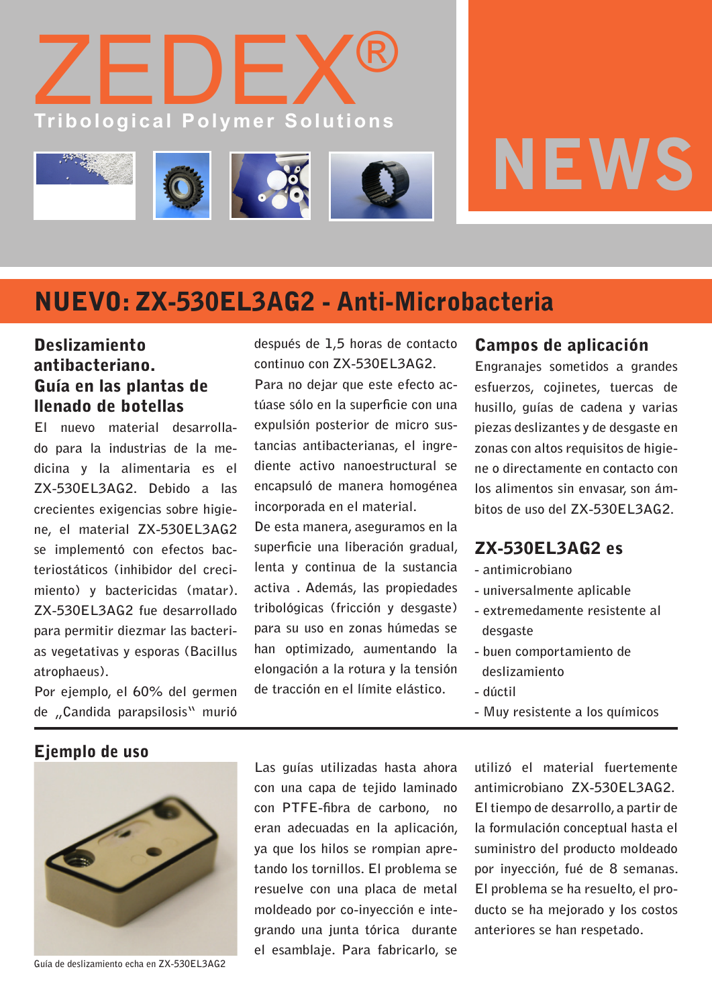



# NUEVO: ZX-530EL3AG2 - Anti-Microbacteria

### **Deslizamiento** antibacteriano. Guía en las plantas de llenado de botellas

**El nuevo material desarrollado para la industrias de la medicina y la alimentaria es el ZX-530EL3AG2. Debido a las crecientes exigencias sobre higiene, el material ZX-530EL3AG2 se implementó con efectos bacteriostáticos (inhibidor del crecimiento) y bactericidas (matar). ZX-530EL3AG2 fue desarrollado para permitir diezmar las bacterias vegetativas y esporas (Bacillus atrophaeus).**

**Por ejemplo, el 60% del germen de "Candida parapsilosis" murió** 

**después de 1,5 horas de contacto continuo con ZX-530EL3AG2.** 

**Para no dejar que este efecto actúase sólo en la superficie con una expulsión posterior de micro sustancias antibacterianas, el ingrediente activo nanoestructural se encapsuló de manera homogénea incorporada en el material.**

**De esta manera, aseguramos en la superficie una liberación gradual, lenta y continua de la sustancia activa . Además, las propiedades tribológicas (fricción y desgaste) para su uso en zonas húmedas se han optimizado, aumentando la elongación a la rotura y la tensión de tracción en el límite elástico.**

#### Campos de aplicación

**Engranajes sometidos a grandes esfuerzos, cojinetes, tuercas de husillo, guías de cadena y varias piezas deslizantes y de desgaste en zonas con altos requisitos de higiene o directamente en contacto con los alimentos sin envasar, son ámbitos de uso del ZX-530EL3AG2.**

#### ZX-530EL3AG2 es

- **antimicrobiano**
- **universalmente aplicable**
- **extremedamente resistente al desgaste**
- **buen comportamiento de deslizamiento**
- **dúctil**
- **Muy resistente a los químicos**

Ejemplo de uso



**Guía de deslizamiento echa en ZX-530EL3AG2**

**Las guías utilizadas hasta ahora con una capa de tejido laminado con PTFE-fibra de carbono, no eran adecuadas en la aplicación, ya que los hilos se rompian apretando los tornillos. El problema se resuelve con una placa de metal moldeado por co-inyección e integrando una junta tórica durante el esamblaje. Para fabricarlo, se** 

**utilizó el material fuertemente antimicrobiano ZX-530EL3AG2. El tiempo de desarrollo, a partir de la formulación conceptual hasta el suministro del producto moldeado por inyección, fué de 8 semanas. El problema se ha resuelto, el producto se ha mejorado y los costos anteriores se han respetado.**